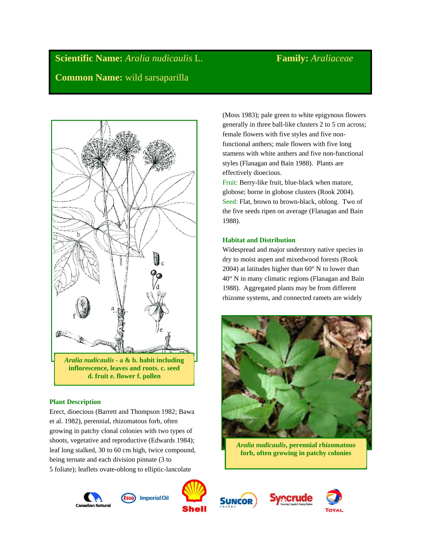**Scientific Name:** *Aralia nudicaulis* L. **Family:** *Araliaceae* **Common Name:** wild sarsaparilla



# **Plant Description**

Erect, dioecious (Barrett and Thompson 1982; Bawa et al. 1982), perennial, rhizomatous forb, often growing in patchy clonal colonies with two types of shoots, vegetative and reproductive (Edwards 1984); leaf long stalked, 30 to 60 cm high, twice compound, being ternate and each division pinnate (3 to 5 foliate); leaflets ovate-oblong to elliptic-lancolate













Fruit: Berry-like fruit, blue-black when mature, globose; borne in globose clusters (Rook 2004). Seed: Flat, brown to brown-black, oblong. Two of the five seeds ripen on average (Flanagan and Bain 1988).

# **Habitat and Distribution**

Widespread and major understory native species in dry to moist aspen and mixedwood forests (Rook 2004) at latitudes higher than 60° N to lower than 40° N in many climatic regions (Flanagan and Bain 1988). Aggregated plants may be from different rhizome systems, and connected ramets are widely



*Aralia nudicaulis***, perennial rhizomatous forb, often growing in patchy colonies**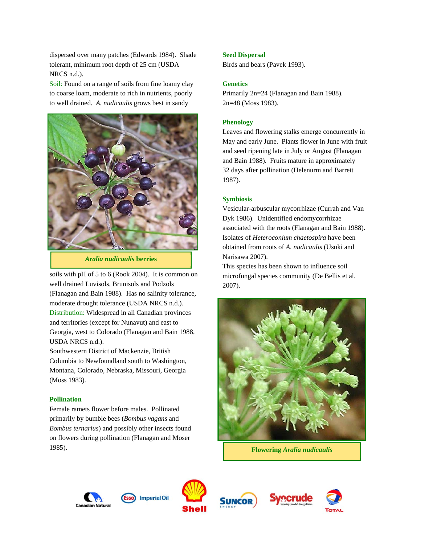dispersed over many patches (Edwards 1984). Shade tolerant, minimum root depth of 25 cm (USDA NRCS n.d.).

Soil: Found on a range of soils from fine loamy clay to coarse loam, moderate to rich in nutrients, poorly to well drained. *A. nudicaulis* grows best in sandy



*Aralia nudicaulis* **berries**

soils with pH of 5 to 6 (Rook 2004). It is common on well drained Luvisols, Brunisols and Podzols (Flanagan and Bain 1988). Has no salinity tolerance, moderate drought tolerance (USDA NRCS n.d.). Distribution: Widespread in all Canadian provinces and territories (except for Nunavut) and east to Georgia, west to Colorado (Flanagan and Bain 1988, USDA NRCS n.d.).

Southwestern District of Mackenzie, British Columbia to Newfoundland south to Washington, Montana, Colorado, Nebraska, Missouri, Georgia (Moss 1983).

### **Pollination**

Female ramets flower before males. Pollinated primarily by bumble bees (*Bombus vagans* and *Bombus ternarius*) and possibly other insects found on flowers during pollination (Flanagan and Moser 1985).

## **Seed Dispersal**

Birds and bears (Pavek 1993).

# **Genetics**

Primarily 2n=24 (Flanagan and Bain 1988). 2n=48 (Moss 1983).

## **Phenology**

Leaves and flowering stalks emerge concurrently in May and early June. Plants flower in June with fruit and seed ripening late in July or August (Flanagan and Bain 1988). Fruits mature in approximately 32 days after pollination (Helenurm and Barrett 1987).

## **Symbiosis**

Vesicular-arbuscular mycorrhizae (Currah and Van Dyk 1986). Unidentified endomycorrhizae associated with the roots (Flanagan and Bain 1988). Isolates of *Heteroconium chaetospira* have been obtained from roots of *A. nudicaulis* (Usuki and Narisawa 2007).

This species has been shown to influence soil microfungal species community (De Bellis et al. 2007).



**Flowering** *Aralia nudicaulis*



**Imperial Oil** 







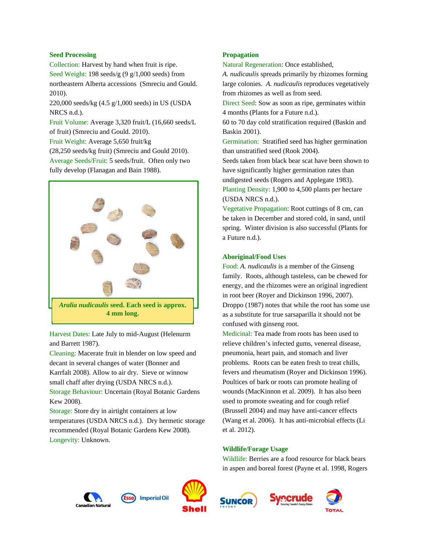# **Seed Processing**

Collection: Harvest by hand when fruit is ripe. Seed Weight: 198 seeds/g (9 g/1,000 seeds) from northeastern Alberta accessions (Smreciu and Gould. 2010).

220,000 seeds/kg (4.5 g/1,000 seeds) in US (USDA NRCS n.d.).

Fruit Volume: Average 3,320 fruit/L (16,660 seeds/L of fruit) (Smreciu and Gould. 2010).

Fruit Weight: Average 5,650 fruit/kg

(28,250 seeds/kg fruit) (Smreciu and Gould 2010). Average Seeds/Fruit: 5 seeds/fruit. Often only two fully develop (Flanagan and Bain 1988).



Harvest Dates: Late July to mid-August (Helenurm and Barrett 1987).

Cleaning: Macerate fruit in blender on low speed and decant in several changes of water (Bonner and Karrfalt 2008). Allow to air dry. Sieve or winnow small chaff after drying (USDA NRCS n.d.). Storage Behaviour: Uncertain (Royal Botanic Gardens Kew 2008).

Storage: Store dry in airtight containers at low temperatures (USDA NRCS n.d.). Dry hermetic storage recommended (Royal Botanic Gardens Kew 2008). Longevity: Unknown.

# **Propagation**

Natural Regeneration: Once established,

*A. nudicaulis* spreads primarily by rhizomes forming large colonies. *A. nudicaulis* reproduces vegetatively from rhizomes as well as from seed.

Direct Seed: Sow as soon as ripe, germinates within 4 months (Plants for a Future n.d.).

60 to 70 day cold stratification required (Baskin and Baskin 2001).

Germination: Stratified seed has higher germination than unstratified seed (Rook 2004).

Seeds taken from black bear scat have been shown to have significantly higher germination rates than undigested seeds (Rogers and Applegate 1983). Planting Density: 1,900 to 4,500 plants per hectare (USDA NRCS n.d.).

Vegetative Propagation: Root cuttings of 8 cm, can be taken in December and stored cold, in sand, until spring. Winter division is also successful (Plants for a Future n.d.).

# **Aboriginal/Food Uses**

Food: *A. nudicaulis* is a member of the Ginseng family. Roots, although tasteless, can be chewed for energy, and the rhizomes were an original ingredient in root beer (Royer and Dickinson 1996, 2007). Droppo (1987) notes that while the root has some use as a substitute for true sarsaparilla it should not be confused with ginseng root.

Medicinal: Tea made from roots has been used to relieve children's infected gums, venereal disease, pneumonia, heart pain, and stomach and liver problems. Roots can be eaten fresh to treat chills, fevers and rheumatism (Royer and Dickinson 1996). Poultices of bark or roots can promote healing of wounds (MacKinnon et al. 2009). It has also been used to promote sweating and for cough relief (Brussell 2004) and may have anti-cancer effects (Wang et al. 2006). It has anti-microbial effects (Li et al. 2012).

# **Wildlife/Forage Usage**

Wildlife: Berries are a food resource for black bears in aspen and boreal forest (Payne et al. 1998, Rogers









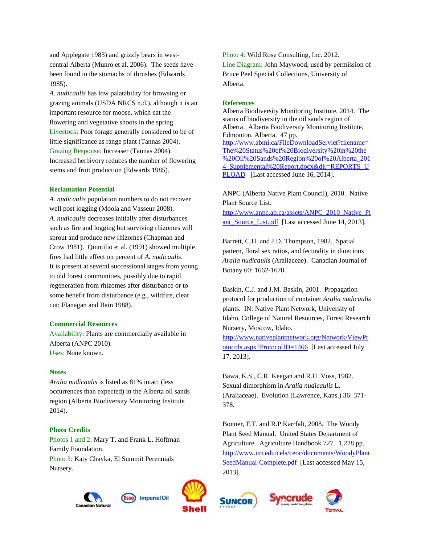and Applegate 1983) and grizzly bears in westcentral Alberta (Munro et al. 2006). The seeds have been found in the stomachs of thrushes (Edwards 1985).

*A. nudicaulis* has low palatability for browsing or grazing animals (USDA NRCS n.d.), although it is an important resource for moose, which eat the flowering and vegetative shoots in the spring. Livestock: Poor forage generally considered to be of little significance as range plant (Tannas 2004). Grazing Response: Increaser (Tannas 2004). Increased herbivory reduces the number of flowering stems and fruit production (Edwards 1985).

## **Reclamation Potential**

*A. nudicaulis* population numbers to do not recover well post logging (Moola and Vasseur 2008). *A. nudicaulis* decreases initially after disturbances such as fire and logging but surviving rhizomes will sprout and produce new rhizomes (Chapman and Crow 1981). Quintilio et al. (1991) showed multiple fires had little effect on percent of *A. nudicaulis*. It is present at several successional stages from young to old forest communities, possibly due to rapid regeneration from rhizomes after disturbance or to some benefit from disturbance (e.g., wildfire, clear cut; Flanagan and Bain 1988).

## **Commercial Resources**

Availability: Plants are commercially available in Alberta (ANPC 2010). Uses: None known.

## **Notes**

*Aralia nudicaulis* is listed as 81% intact (less occurrences than expected) in the Alberta oil sands region (Alberta Biodiversity Monitoring Institute 2014).

# **Photo Credits**

Photos 1 and 2: Mary T. and Frank L. Hoffman Family Foundation.

Photo 3: Katy Chayka, El Summit Perennials Nursery.





Photo 4: Wild Rose Consulting, Inc. 2012. Line Diagram: John Maywood, used by permission of Bruce Peel Special Collections, University of Alberta.

### **References**

Alberta Biodiversity Monitoring Institute, 2014. The status of biodiversity in the oil sands region of Alberta. Alberta Biodiversity Monitoring Institute, Edmonton, Alberta. 47 pp. http://www.abmi.ca/FileDownloadServlet?filename= The%20Status%20of%20Biodiversity%20in%20the %20Oil%20Sands%20Region%20of%20Alberta\_201 4\_Supplemental%20Report.docx&dir=REPORTS\_U PLOAD [Last accessed June 16, 2014].

ANPC (Alberta Native Plant Council), 2010. Native Plant Source List.

http://www.anpc.ab.ca/assets/ANPC\_2010\_Native\_Pl ant\_Source\_List.pdf [Last accessed June 14, 2013].

Barrett, C.H. and J.D. Thompson, 1982. Spatial pattern, floral sex ratios, and fecundity in dioecious *Aralia nudicaulis* (Araliaceae). Canadian Journal of Botany 60: 1662-1670.

Baskin, C.J. and J.M. Baskin, 2001. Propagation protocol for production of container *Aralia nudicaulis* plants. IN: Native Plant Network, University of Idaho, College of Natural Resources, Forest Research Nursery, Moscow, Idaho.

http://www.nativeplantnetwork.org/Network/ViewPr otocols.aspx?ProtocolID=1466 [Last accessed July 17, 2013].

Bawa, K.S., C.R. Keegan and R.H. Voss, 1982. Sexual dimorphism in *Aralia nudicaulis* L. (Araliaceae). Evolution (Lawrence, Kans.) 36: 371- 378.

Bonner, F.T. and R.P Karrfalt, 2008. The Woody Plant Seed Manual. United States Department of Agriculture. Agriculture Handbook 727. 1,228 pp. http://www.uri.edu/cels/ceoc/documents/WoodyPlant SeedManual-Complete.pdf [Last accessed May 15, 2013].



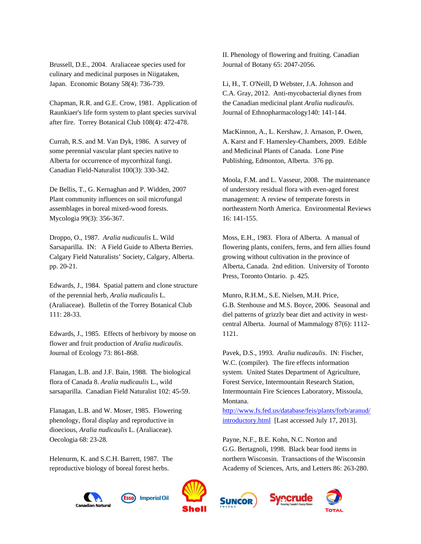Brussell, D.E., 2004. Araliaceae species used for culinary and medicinal purposes in Niigataken, Japan. Economic Botany 58(4): 736-739.

Chapman, R.R. and G.E. Crow, 1981. Application of Raunkiaer's life form system to plant species survival after fire. Torrey Botanical Club 108(4): 472-478.

Currah, R.S. and M. Van Dyk, 1986. A survey of some perennial vascular plant species native to Alberta for occurrence of mycorrhizal fungi. Canadian Field-Naturalist 100(3): 330-342.

De Bellis, T., G. Kernaghan and P. Widden, 2007 Plant community influences on soil microfungal assemblages in boreal mixed-wood forests. Mycologia 99(3): 356-367.

Droppo, O., 1987. *Aralia nudicaulis* L. Wild Sarsaparilla. IN: A Field Guide to Alberta Berries. Calgary Field Naturalists' Society, Calgary, Alberta. pp. 20-21.

Edwards, J., 1984. Spatial pattern and clone structure of the perennial herb, *Aralia nudicaulis* L. (Araliaceae). Bulletin of the Torrey Botanical Club 111: 28-33.

Edwards, J., 1985. Effects of herbivory by moose on flower and fruit production of *Aralia nudicaulis*. Journal of Ecology 73: 861-868.

Flanagan, L.B. and J.F. Bain, 1988. The biological flora of Canada 8. *Aralia nudicaulis* L., wild sarsaparilla. Canadian Field Naturalist 102: 45-59.

Flanagan, L.B. and W. Moser, 1985. Flowering phenology, floral display and reproductive in dioecious, *Aralia nudicaulis* L. (Araliaceae). Oecologia 68: 23-28.

Helenurm, K. and S.C.H. Barrett, 1987. The reproductive biology of boreal forest herbs.

**Imperial Oil** 

II. Phenology of flowering and fruiting. Canadian Journal of Botany 65: 2047-2056.

Li, H., T. O'Neill, D Webster, J.A. Johnson and C.A. Gray, 2012. Anti-mycobacterial diynes from the Canadian medicinal plant *Aralia nudicaulis*. Journal of Ethnopharmacology140: 141-144.

MacKinnon, A., L. Kershaw, J. Arnason, P. Owen, A. Karst and F. Hamersley-Chambers, 2009. Edible and Medicinal Plants of Canada. Lone Pine Publishing, Edmonton, Alberta. 376 pp.

Moola, F.M. and L. Vasseur, 2008. The maintenance of understory residual flora with even-aged forest management: A review of temperate forests in northeastern North America. Environmental Reviews 16: 141-155.

Moss, E.H., 1983. Flora of Alberta. A manual of flowering plants, conifers, ferns, and fern allies found growing without cultivation in the province of Alberta, Canada. 2nd edition. University of Toronto Press, Toronto Ontario. p. 425.

Munro, R.H.M., S.E. Nielsen, M.H. Price, G.B. Stenhouse and M.S. Boyce, 2006. Seasonal and diel patterns of grizzly bear diet and activity in westcentral Alberta. Journal of Mammalogy 87(6): 1112- 1121.

Pavek, D.S., 1993. *Aralia nudicaulis*. IN: Fischer, W.C. (compiler). The fire effects information system. United States Department of Agriculture, Forest Service, Intermountain Research Station, Intermountain Fire Sciences Laboratory, Missoula, Montana.

http://www.fs.fed.us/database/feis/plants/forb/aranud/ introductory.html [Last accessed July 17, 2013].

Payne, N.F., B.E. Kohn, N.C. Norton and G.G. Bertagnoli, 1998. Black bear food items in northern Wisconsin. Transactions of the Wisconsin Academy of Sciences, Arts, and Letters 86: 263-280.